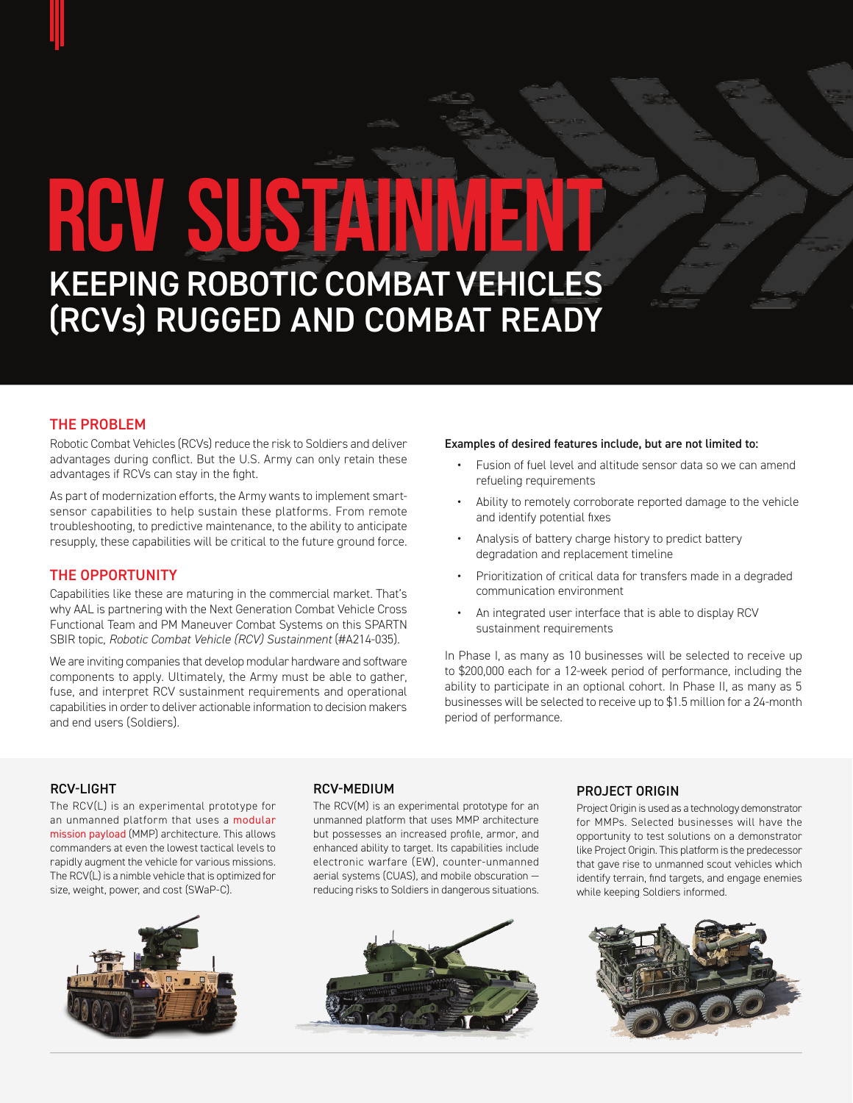# RCV SUSTAIN

KEEPING ROBOTIC COMBAT VEHICLES (RCVs) RUGGED AND COMBAT READY

### THE PROBLEM

Robotic Combat Vehicles (RCVs) reduce the risk to Soldiers and deliver advantages during conflict. But the U.S. Army can only retain these advantages if RCVs can stay in the fight.

As part of modernization efforts, the Army wants to implement smartsensor capabilities to help sustain these platforms. From remote troubleshooting, to predictive maintenance, to the ability to anticipate resupply, these capabilities will be critical to the future ground force.

### THE OPPORTUNITY

Capabilities like these are maturing in the commercial market. That's why AAL is partnering with the Next Generation Combat Vehicle Cross Functional Team and PM Maneuver Combat Systems on this SPARTN SBIR topic, *Robotic Combat Vehicle (RCV) Sustainment* (#A214-035).

We are inviting companies that develop modular hardware and software components to apply. Ultimately, the Army must be able to gather, fuse, and interpret RCV sustainment requirements and operational capabilities in order to deliver actionable information to decision makers and end users (Soldiers).

### Examples of desired features include, but are not limited to:

- Fusion of fuel level and altitude sensor data so we can amend refueling requirements
- Ability to remotely corroborate reported damage to the vehicle and identify potential fixes
- Analysis of battery charge history to predict battery degradation and replacement timeline
- Prioritization of critical data for transfers made in a degraded communication environment
- An integrated user interface that is able to display RCV sustainment requirements

In Phase I, as many as 10 businesses will be selected to receive up to \$200,000 each for a 12-week period of performance, including the ability to participate in an optional cohort. In Phase II, as many as 5 businesses will be selected to receive up to \$1.5 million for a 24-month period of performance.

### RCV-LIGHT

The RCV(L) is an experimental prototype for an unmanned platform that uses a [modular](https://www.spiedigitallibrary.org/conference-proceedings-of-spie/5422/0000/Modular-mission-payload-architecture/10.1117/12.553031.short?SSO=1) [mission payload](https://www.spiedigitallibrary.org/conference-proceedings-of-spie/5422/0000/Modular-mission-payload-architecture/10.1117/12.553031.short?SSO=1) (MMP) architecture. This allows commanders at even the lowest tactical levels to rapidly augment the vehicle for various missions. The RCV(L) is a nimble vehicle that is optimized for size, weight, power, and cost (SWaP-C).



### RCV-MEDIUM

The RCV(M) is an experimental prototype for an unmanned platform that uses MMP architecture but possesses an increased profile, armor, and enhanced ability to target. Its capabilities include electronic warfare (EW), counter-unmanned aerial systems (CUAS), and mobile obscuration reducing risks to Soldiers in dangerous situations.



### PROJECT ORIGIN

Project Origin is used as a technology demonstrator for MMPs. Selected businesses will have the opportunity to test solutions on a demonstrator like Project Origin. This platform is the predecessor that gave rise to unmanned scout vehicles which identify terrain, find targets, and engage enemies while keeping Soldiers informed.